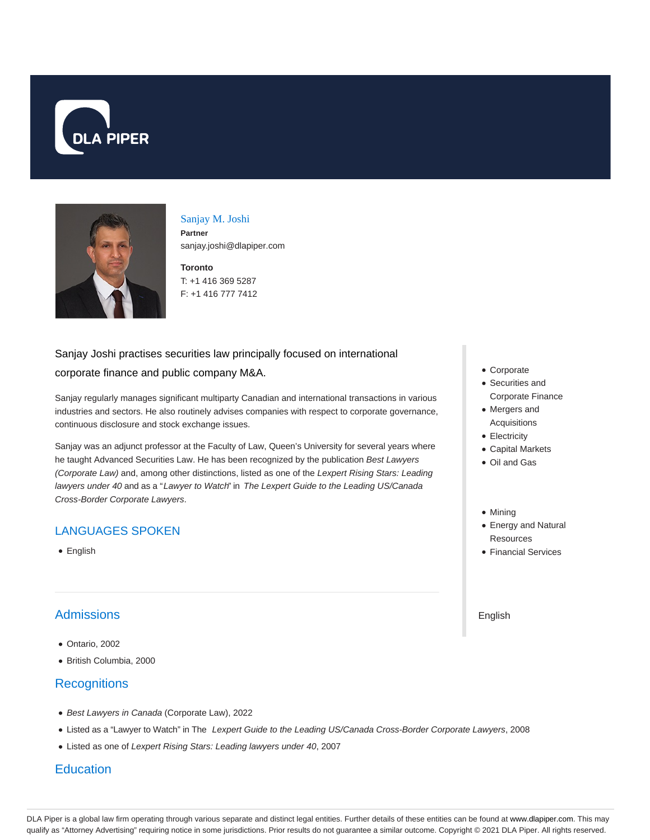



# Sanjay M. Joshi **Partner**

sanjay.joshi@dlapiper.com

**Toronto** T: +1 416 369 5287 F: +1 416 777 7412

# Sanjay Joshi practises securities law principally focused on international corporate finance and public company M&A.

Sanjay regularly manages significant multiparty Canadian and international transactions in various industries and sectors. He also routinely advises companies with respect to corporate governance, continuous disclosure and stock exchange issues.

Sanjay was an adjunct professor at the Faculty of Law, Queen's University for several years where he taught Advanced Securities Law. He has been recognized by the publication Best Lawyers (Corporate Law) and, among other distinctions, listed as one of the Lexpert Rising Stars: Leading lawyers under 40 and as a "Lawyer to Watch" in The Lexpert Guide to the Leading US/Canada Cross-Border Corporate Lawyers.

# LANGUAGES SPOKEN

• English

# **Admissions**

- Ontario, 2002
- British Columbia, 2000

## **Recognitions**

- Best Lawyers in Canada (Corporate Law), 2022
- Listed as a "Lawyer to Watch" in The Lexpert Guide to the Leading US/Canada Cross-Border Corporate Lawyers, 2008
- Listed as one of Lexpert Rising Stars: Leading lawyers under 40, 2007

## **Education**

- Corporate
- Securities and Corporate Finance
- Mergers and Acquisitions
- Electricity
- Capital Markets
- Oil and Gas
- Mining
- Energy and Natural **Resources**
- Financial Services

English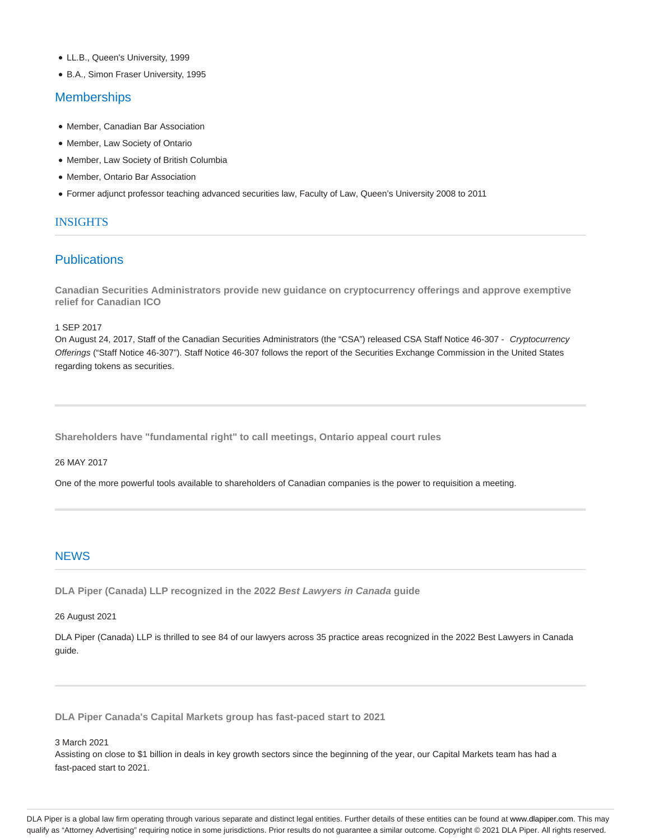- LL.B., Queen's University, 1999
- B.A., Simon Fraser University, 1995

#### **Memberships**

- Member, Canadian Bar Association
- Member, Law Society of Ontario
- Member, Law Society of British Columbia
- Member, Ontario Bar Association
- Former adjunct professor teaching advanced securities law, Faculty of Law, Queen's University 2008 to 2011

#### **INSIGHTS**

### **Publications**

**Canadian Securities Administrators provide new guidance on cryptocurrency offerings and approve exemptive relief for Canadian ICO**

1 SEP 2017

On August 24, 2017, Staff of the Canadian Securities Administrators (the "CSA") released CSA Staff Notice 46-307 - Cryptocurrency Offerings ("Staff Notice 46-307"). Staff Notice 46-307 follows the report of the Securities Exchange Commission in the United States regarding tokens as securities.

**Shareholders have "fundamental right" to call meetings, Ontario appeal court rules**

26 MAY 2017

One of the more powerful tools available to shareholders of Canadian companies is the power to requisition a meeting.

#### **NEWS**

**DLA Piper (Canada) LLP recognized in the 2022 Best Lawyers in Canada guide**

26 August 2021

DLA Piper (Canada) LLP is thrilled to see 84 of our lawyers across 35 practice areas recognized in the 2022 Best Lawyers in Canada guide.

**DLA Piper Canada's Capital Markets group has fast-paced start to 2021**

3 March 2021

Assisting on close to \$1 billion in deals in key growth sectors since the beginning of the year, our Capital Markets team has had a fast-paced start to 2021.

DLA Piper is a global law firm operating through various separate and distinct legal entities. Further details of these entities can be found at www.dlapiper.com. This may qualify as "Attorney Advertising" requiring notice in some jurisdictions. Prior results do not guarantee a similar outcome. Copyright @ 2021 DLA Piper. All rights reserved.